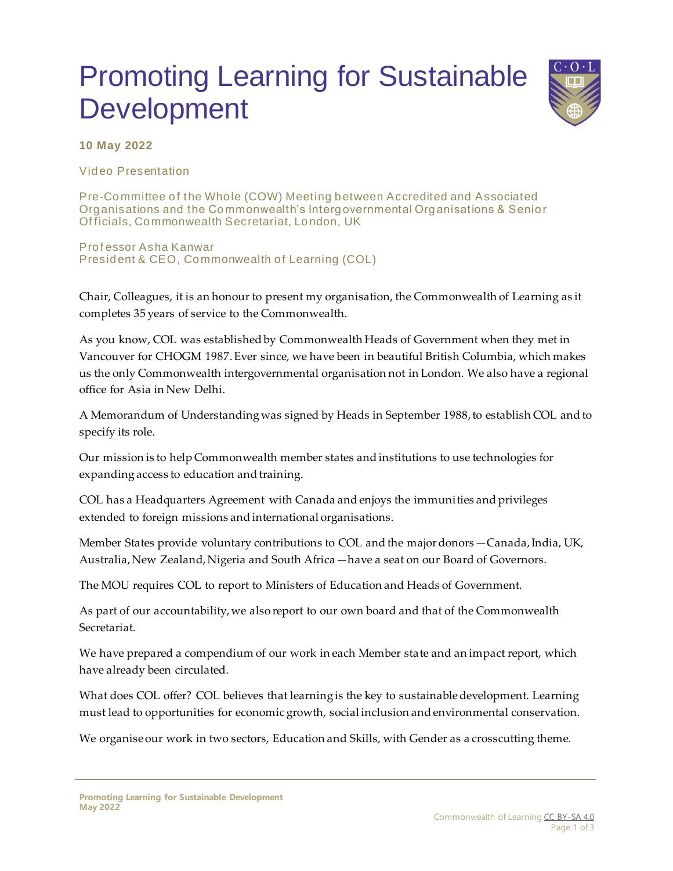## Promoting Learning for Sustainable Development



**10 May 2022**

Video Presentation

Pre-Committee of the Whole (COW) Meeting between Accredited and Associated Organisations and the Commonwealth's Intergovernmental Organisations & Senior Of ficials, Commonwealth Secretariat, London, UK

Prof essor Asha Kanwar President & CEO, Commonwealth of Learning (COL)

Chair, Colleagues, it is an honour to present my organisation, the Commonwealth of Learning as it completes 35 years of service to the Commonwealth.

As you know, COL was established by Commonwealth Heads of Government when they met in Vancouver for CHOGM 1987. Ever since, we have been in beautiful British Columbia, which makes us the only Commonwealth intergovernmental organisation not in London. We also have a regional office for Asia in New Delhi.

A Memorandum of Understanding was signed by Heads in September 1988, to establish COL and to specify its role.

Our mission is to help Commonwealth member states and institutions to use technologies for expanding access to education and training.

COL has a Headquarters Agreement with Canada and enjoys the immunities and privileges extended to foreign missions and international organisations.

Member States provide voluntary contributions to COL and the major donors—Canada, India, UK, Australia, New Zealand, Nigeria and South Africa—have a seat on our Board of Governors.

The MOU requires COL to report to Ministers of Education and Heads of Government.

As part of our accountability, we also report to our own board and that of the Commonwealth Secretariat.

We have prepared a compendium of our work in each Member state and an impact report, which have already been circulated.

What does COL offer? COL believes that learning is the key to sustainable development. Learning must lead to opportunities for economic growth, social inclusion and environmental conservation.

We organise our work in two sectors, Education and Skills, with Gender as a crosscutting theme.

**Promoting Learning for Sustainable Development May 2022**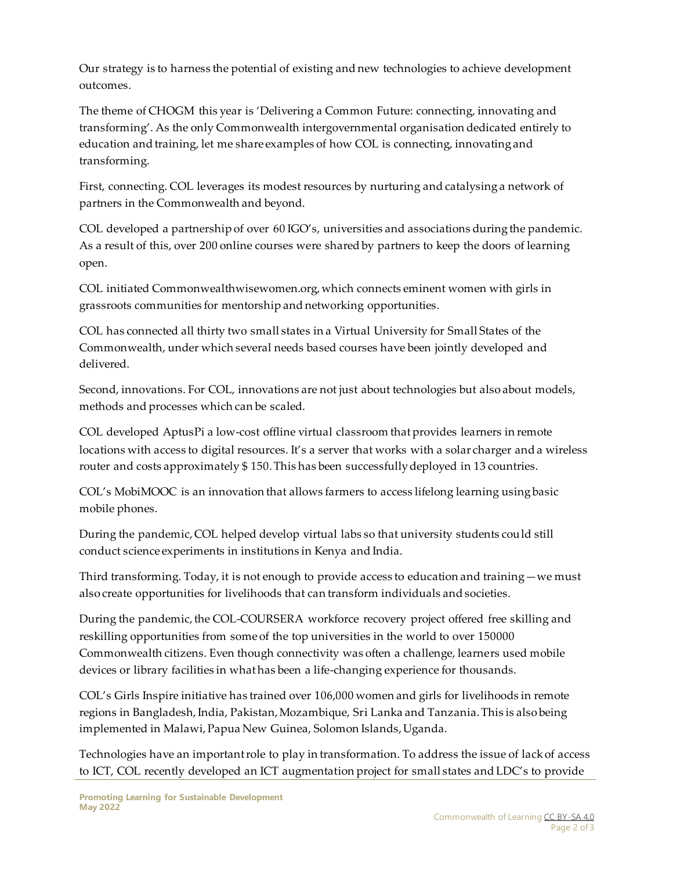Our strategy is to harness the potential of existing and new technologies to achieve development outcomes.

The theme of CHOGM this year is 'Delivering a Common Future: connecting, innovating and transforming'. As the only Commonwealth intergovernmental organisation dedicated entirely to education and training, let me share examples of how COL is connecting, innovating and transforming.

First, connecting. COL leverages its modest resources by nurturing and catalysing a network of partners in the Commonwealth and beyond.

COL developed a partnership of over 60 IGO's, universities and associations during the pandemic. As a result of this, over 200 online courses were shared by partners to keep the doors of learning open.

COL initiated Commonwealthwisewomen.org, which connects eminent women with girls in grassroots communities for mentorship and networking opportunities.

COL has connected all thirty two small states in a Virtual University for Small States of the Commonwealth, under which several needs based courses have been jointly developed and delivered.

Second, innovations. For COL, innovations are not just about technologies but also about models, methods and processes which can be scaled.

COL developed AptusPi a low-cost offline virtual classroom that provides learners in remote locations with access to digital resources. It's a server that works with a solar charger and a wireless router and costs approximately \$ 150. This has been successfully deployed in 13 countries.

COL's MobiMOOC is an innovation that allows farmers to access lifelong learning using basic mobile phones.

During the pandemic, COL helped develop virtual labs so that university students could still conduct science experiments in institutions in Kenya and India.

Third transforming. Today, it is not enough to provide access to education and training—we must also create opportunities for livelihoods that can transform individuals and societies.

During the pandemic, the COL-COURSERA workforce recovery project offered free skilling and reskilling opportunities from some of the top universities in the world to over 150000 Commonwealth citizens. Even though connectivity was often a challenge, learners used mobile devices or library facilities in what has been a life-changing experience for thousands.

COL's Girls Inspire initiative has trained over 106,000 women and girls for livelihoods in remote regions in Bangladesh, India, Pakistan, Mozambique, Sri Lanka and Tanzania. This is also being implemented in Malawi, Papua New Guinea, Solomon Islands, Uganda.

Technologies have an important role to play in transformation. To address the issue of lack of access to ICT, COL recently developed an ICT augmentation project for small states and LDC's to provide